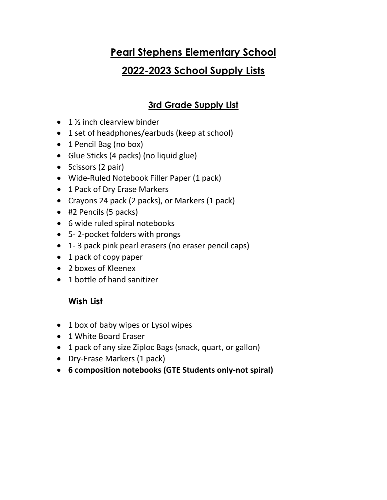## **Pearl Stephens Elementary School**

# **2022-2023 School Supply Lists**

## **3rd Grade Supply List**

- $\bullet$  1  $\frac{1}{2}$  inch clearview binder
- 1 set of headphones/earbuds (keep at school)
- 1 Pencil Bag (no box)
- Glue Sticks (4 packs) (no liquid glue)
- Scissors (2 pair)
- Wide-Ruled Notebook Filler Paper (1 pack)
- 1 Pack of Dry Erase Markers
- Crayons 24 pack (2 packs), or Markers (1 pack)
- #2 Pencils (5 packs)
- 6 wide ruled spiral notebooks
- 5- 2-pocket folders with prongs
- 1- 3 pack pink pearl erasers (no eraser pencil caps)
- 1 pack of copy paper
- 2 boxes of Kleenex
- 1 bottle of hand sanitizer

### **Wish List**

- 1 box of baby wipes or Lysol wipes
- 1 White Board Eraser
- 1 pack of any size Ziploc Bags (snack, quart, or gallon)
- Dry-Erase Markers (1 pack)
- **6 composition notebooks (GTE Students only-not spiral)**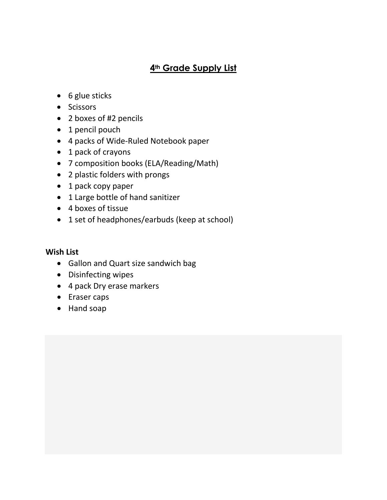#### **4th Grade Supply List**

- 6 glue sticks
- Scissors
- 2 boxes of #2 pencils
- 1 pencil pouch
- 4 packs of Wide-Ruled Notebook paper
- 1 pack of crayons
- 7 composition books (ELA/Reading/Math)
- 2 plastic folders with prongs
- 1 pack copy paper
- 1 Large bottle of hand sanitizer
- 4 boxes of tissue
- 1 set of headphones/earbuds (keep at school)

#### **Wish List**

- Gallon and Quart size sandwich bag
- Disinfecting wipes
- 4 pack Dry erase markers
- Eraser caps
- Hand soap